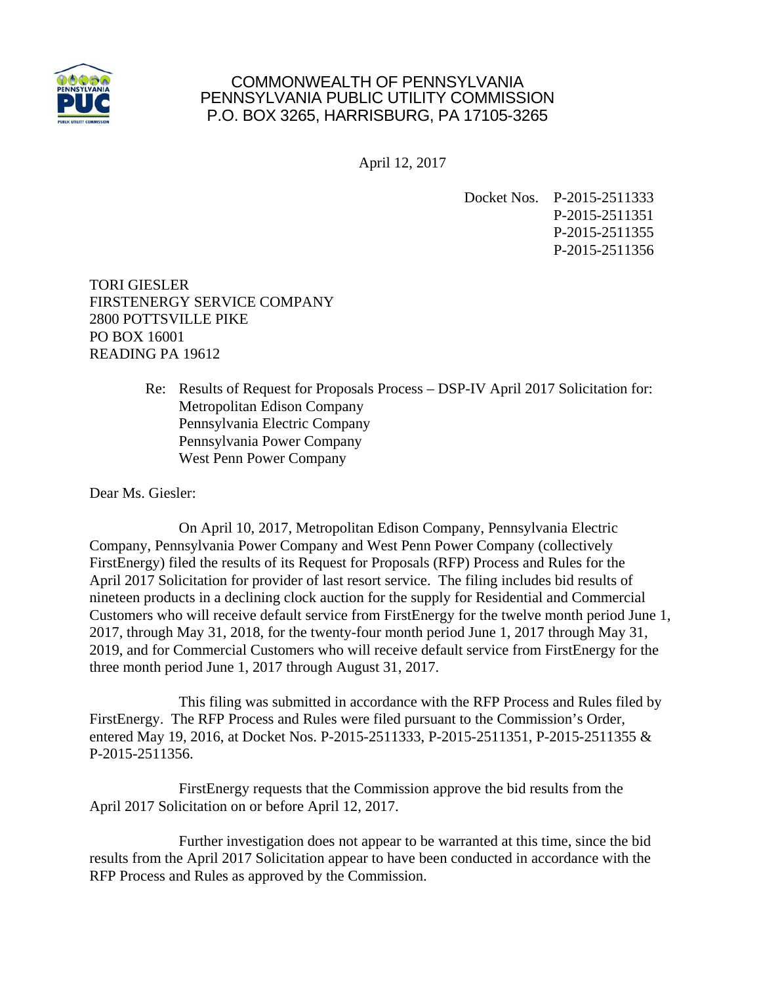

## COMMONWEALTH OF PENNSYLVANIA PENNSYLVANIA PUBLIC UTILITY COMMISSION P.O. BOX 3265, HARRISBURG, PA 17105-3265

April 12, 2017

Docket Nos. P-2015-2511333 P-2015-2511351 P-2015-2511355 P-2015-2511356

TORI GIESLER FIRSTENERGY SERVICE COMPANY 2800 POTTSVILLE PIKE PO BOX 16001 READING PA 19612

> Re: Results of Request for Proposals Process – DSP-IV April 2017 Solicitation for: Metropolitan Edison Company Pennsylvania Electric Company Pennsylvania Power Company West Penn Power Company

Dear Ms. Giesler:

 On April 10, 2017, Metropolitan Edison Company, Pennsylvania Electric Company, Pennsylvania Power Company and West Penn Power Company (collectively FirstEnergy) filed the results of its Request for Proposals (RFP) Process and Rules for the April 2017 Solicitation for provider of last resort service. The filing includes bid results of nineteen products in a declining clock auction for the supply for Residential and Commercial Customers who will receive default service from FirstEnergy for the twelve month period June 1, 2017, through May 31, 2018, for the twenty-four month period June 1, 2017 through May 31, 2019, and for Commercial Customers who will receive default service from FirstEnergy for the three month period June 1, 2017 through August 31, 2017.

 This filing was submitted in accordance with the RFP Process and Rules filed by FirstEnergy. The RFP Process and Rules were filed pursuant to the Commission's Order, entered May 19, 2016, at Docket Nos. P-2015-2511333, P-2015-2511351, P-2015-2511355 & P-2015-2511356.

 FirstEnergy requests that the Commission approve the bid results from the April 2017 Solicitation on or before April 12, 2017.

 Further investigation does not appear to be warranted at this time, since the bid results from the April 2017 Solicitation appear to have been conducted in accordance with the RFP Process and Rules as approved by the Commission.